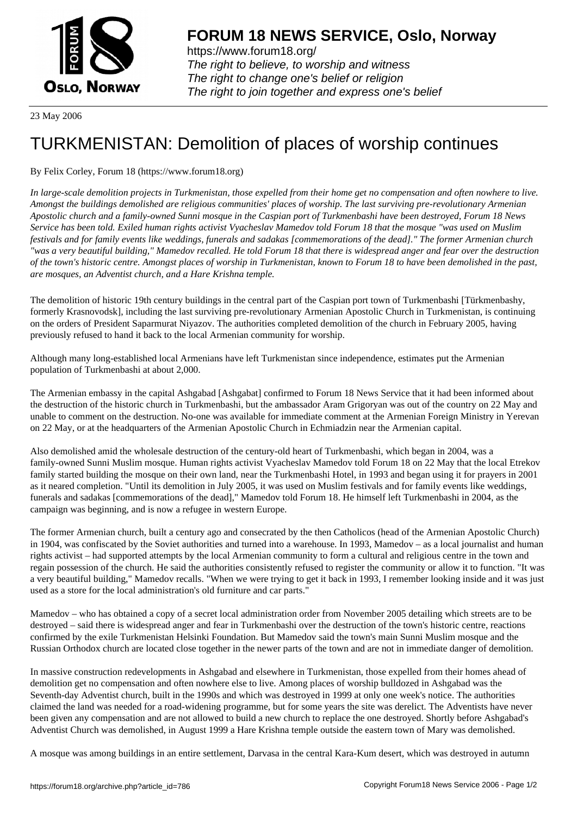

https://www.forum18.org/ The right to believe, to worship and witness The right to change one's belief or religion [The right to join together a](https://www.forum18.org/)nd express one's belief

23 May 2006

## [TURKMENISTA](https://www.forum18.org)N: Demolition of places of worship continues

## By Felix Corley, Forum 18 (https://www.forum18.org)

*In large-scale demolition projects in Turkmenistan, those expelled from their home get no compensation and often nowhere to live. Amongst the buildings demolished are religious communities' places of worship. The last surviving pre-revolutionary Armenian Apostolic church and a family-owned Sunni mosque in the Caspian port of Turkmenbashi have been destroyed, Forum 18 News Service has been told. Exiled human rights activist Vyacheslav Mamedov told Forum 18 that the mosque "was used on Muslim festivals and for family events like weddings, funerals and sadakas [commemorations of the dead]." The former Armenian church "was a very beautiful building," Mamedov recalled. He told Forum 18 that there is widespread anger and fear over the destruction of the town's historic centre. Amongst places of worship in Turkmenistan, known to Forum 18 to have been demolished in the past, are mosques, an Adventist church, and a Hare Krishna temple.*

The demolition of historic 19th century buildings in the central part of the Caspian port town of Turkmenbashi [Türkmenbashy, formerly Krasnovodsk], including the last surviving pre-revolutionary Armenian Apostolic Church in Turkmenistan, is continuing on the orders of President Saparmurat Niyazov. The authorities completed demolition of the church in February 2005, having previously refused to hand it back to the local Armenian community for worship.

Although many long-established local Armenians have left Turkmenistan since independence, estimates put the Armenian population of Turkmenbashi at about 2,000.

The Armenian embassy in the capital Ashgabad [Ashgabat] confirmed to Forum 18 News Service that it had been informed about the destruction of the historic church in Turkmenbashi, but the ambassador Aram Grigoryan was out of the country on 22 May and unable to comment on the destruction. No-one was available for immediate comment at the Armenian Foreign Ministry in Yerevan on 22 May, or at the headquarters of the Armenian Apostolic Church in Echmiadzin near the Armenian capital.

Also demolished amid the wholesale destruction of the century-old heart of Turkmenbashi, which began in 2004, was a family-owned Sunni Muslim mosque. Human rights activist Vyacheslav Mamedov told Forum 18 on 22 May that the local Etrekov family started building the mosque on their own land, near the Turkmenbashi Hotel, in 1993 and began using it for prayers in 2001 as it neared completion. "Until its demolition in July 2005, it was used on Muslim festivals and for family events like weddings, funerals and sadakas [commemorations of the dead]," Mamedov told Forum 18. He himself left Turkmenbashi in 2004, as the campaign was beginning, and is now a refugee in western Europe.

The former Armenian church, built a century ago and consecrated by the then Catholicos (head of the Armenian Apostolic Church) in 1904, was confiscated by the Soviet authorities and turned into a warehouse. In 1993, Mamedov – as a local journalist and human rights activist – had supported attempts by the local Armenian community to form a cultural and religious centre in the town and regain possession of the church. He said the authorities consistently refused to register the community or allow it to function. "It was a very beautiful building," Mamedov recalls. "When we were trying to get it back in 1993, I remember looking inside and it was just used as a store for the local administration's old furniture and car parts."

Mamedov – who has obtained a copy of a secret local administration order from November 2005 detailing which streets are to be destroyed – said there is widespread anger and fear in Turkmenbashi over the destruction of the town's historic centre, reactions confirmed by the exile Turkmenistan Helsinki Foundation. But Mamedov said the town's main Sunni Muslim mosque and the Russian Orthodox church are located close together in the newer parts of the town and are not in immediate danger of demolition.

In massive construction redevelopments in Ashgabad and elsewhere in Turkmenistan, those expelled from their homes ahead of demolition get no compensation and often nowhere else to live. Among places of worship bulldozed in Ashgabad was the Seventh-day Adventist church, built in the 1990s and which was destroyed in 1999 at only one week's notice. The authorities claimed the land was needed for a road-widening programme, but for some years the site was derelict. The Adventists have never been given any compensation and are not allowed to build a new church to replace the one destroyed. Shortly before Ashgabad's Adventist Church was demolished, in August 1999 a Hare Krishna temple outside the eastern town of Mary was demolished.

A mosque was among buildings in an entire settlement, Darvasa in the central Kara-Kum desert, which was destroyed in autumn